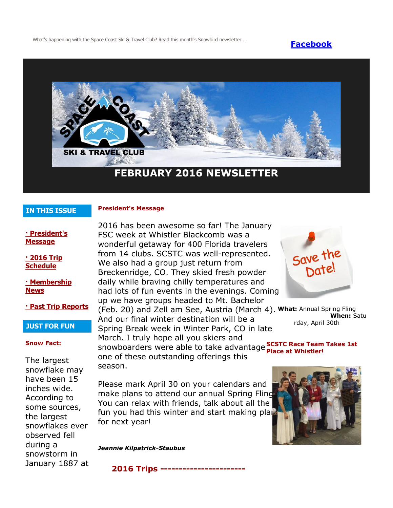What's happening with the Space Coast Ski & Travel Club? Read this month's Snowbird newsletter.... **[Facebook](https://www.facebook.com/pages/Space-Coast-Ski-Club/137991863341)** 



# **IN THIS ISSUE**

# **President's Message**

**[· President's](http://spacecoastskiclub.com/Admin/Settings/Emails/EmailContentProvider.aspx?emailId=42421906#anchor1)  [Message](http://spacecoastskiclub.com/Admin/Settings/Emails/EmailContentProvider.aspx?emailId=42421906#anchor1)**

**[· 2016 Trip](http://spacecoastskiclub.com/Admin/Settings/Emails/EmailContentProvider.aspx?emailId=42421906#anchor2)  [Schedule](http://spacecoastskiclub.com/Admin/Settings/Emails/EmailContentProvider.aspx?emailId=42421906#anchor2)** 

# **[· Membership](http://spacecoastskiclub.com/Admin/Settings/Emails/EmailContentProvider.aspx?emailId=42421906#anchor3)  [News](http://spacecoastskiclub.com/Admin/Settings/Emails/EmailContentProvider.aspx?emailId=42421906#anchor3)**

**[· Past Trip Reports](http://spacecoastskiclub.com/Admin/Settings/Emails/EmailContentProvider.aspx?emailId=42421906#anchor4)**

## **JUST FOR FUN**

#### **Snow Fact:**

The largest snowflake may have been 15 inches wide. According to some sources, the largest snowflakes ever observed fell during a snowstorm in January 1887 at 2016 has been awesome so far! The January FSC week at Whistler Blackcomb was a wonderful getaway for 400 Florida travelers from 14 clubs. SCSTC was well-represented. We also had a group just return from Breckenridge, CO. They skied fresh powder daily while braving chilly temperatures and had lots of fun events in the evenings. Coming up we have groups headed to Mt. Bachelor (Feb. 20) and Zell am See, Austria (March 4). **What:** Annual Spring Fling And our final winter destination will be a Spring Break week in Winter Park, CO in late March. I truly hope all you skiers and snowboarders were able to take advantage **SCSTC Race Team Takes 1st** one of these outstanding offerings this season.



**When:** Satu rday, April 30th

**Place at Whistler!**

Please mark April 30 on your calendars and make plans to attend our annual Spring Fling. You can relax with friends, talk about all the fun you had this winter and start making plan for next year!

*Jeannie Kilpatrick-Staubus*

**2016 Trips -----------------------**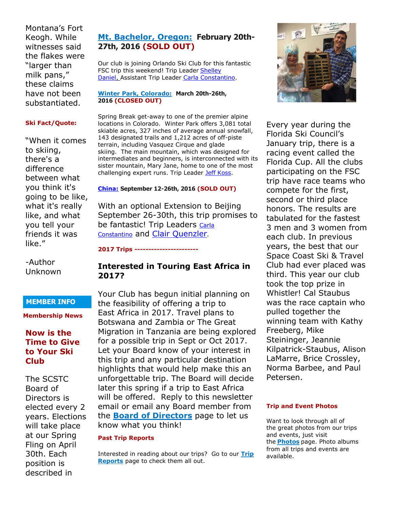Montana's Fort Keogh. While witnesses said the flakes were "larger than milk pans," these claims have not been substantiated.

#### **Ski Fact/Quote:**

"When it comes to skiing, there's a difference between what you think it's going to be like, what it's really like, and what you tell your friends it was like."

-Author Unknown

# **MEMBER INFO**

**Membership News**

# **Now is the Time to Give to Your Ski Club**

The SCSTC Board of Directors is elected every 2 years. Elections will take place at our Spring Fling on April 30th. Each position is described in

# **[Mt. Bachelor, Oregon:](http://spacecoastskiclub.com/event-1928093) February 20th-27th, 2016 (SOLD OUT)**

Our club is joining Orlando Ski Club for this fantastic FSC trip this weekend! Trip Leader Shelley [Daniel,](mailto:debaryskigirl@gmail.com) Assistant Trip Leader [Carla Constantino.](mailto:Carla@SpaceCoastSkiClub.com)

#### **[Winter Park, Colorado:](http://spacecoastskiclub.com/event-1948515) March 20th-26th, 2016 (CLOSED OUT)**

Spring Break get-away to one of the premier alpine locations in Colorado. Winter Park offers 3,081 total skiable acres, 327 inches of average annual snowfall, 143 designated trails and 1,212 acres of off-piste terrain, including Vasquez Cirque and glade skiing. The main mountain, which was designed for intermediates and beginners, is interconnected with its sister mountain, Mary Jane, home to one of the most challenging expert runs. Trip Leader [Jeff Koss.](mailto:kaoshome@earthlink.net)

# **[China:](http://spacecoastskiclub.com/event-2024853) September 12-26th, 2016 (SOLD OUT)**

With an optional Extension to Beijing September 26-30th, this trip promises to be fantastic! Trip Leaders Carla [Constantino](mailto:Carla@SpaceCoastSkiClub.com) and [Clair Quenzler](mailto:clairqski@aol.com).

#### **2017 Trips -----------------------**

# **Interested in Touring East Africa in 2017?**

Your Club has begun initial planning on the feasibility of offering a trip to East Africa in 2017. Travel plans to Botswana and Zambia or The Great Migration in Tanzania are being explored for a possible trip in Sept or Oct 2017. Let your Board know of your interest in this trip and any particular destination highlights that would help make this an unforgettable trip. The Board will decide later this spring if a trip to East Africa will be offered. Reply to this newsletter email or email any Board member from the **[Board of Directors](http://spacecoastskiclub.com/Directors)** page to let us know what you think!

## **Past Trip Reports**

Interested in reading about our trips? Go to our **[Trip](http://spacecoastskiclub.com/PastTrips)  [Reports](http://spacecoastskiclub.com/PastTrips)** page to check them all out.



Every year during the Florida Ski Council's January trip, there is a racing event called the Florida Cup. All the clubs participating on the FSC trip have race teams who compete for the first, second or third place honors. The results are tabulated for the fastest 3 men and 3 women from each club. In previous years, the best that our Space Coast Ski & Travel Club had ever placed was third. This year our club took the top prize in Whistler! Cal Staubus was the race captain who pulled together the winning team with Kathy Freeberg, Mike Steininger, Jeannie Kilpatrick-Staubus, Alison LaMarre, Brice Crossley, Norma Barbee, and Paul Petersen.

## **Trip and Event Photos**

Want to look through all of the great photos from our trips and events, just visit the **[Photos](http://spacecoastskiclub.com/Default.aspx?pageId=1628252)** page. Photo albums from all trips and events are available.